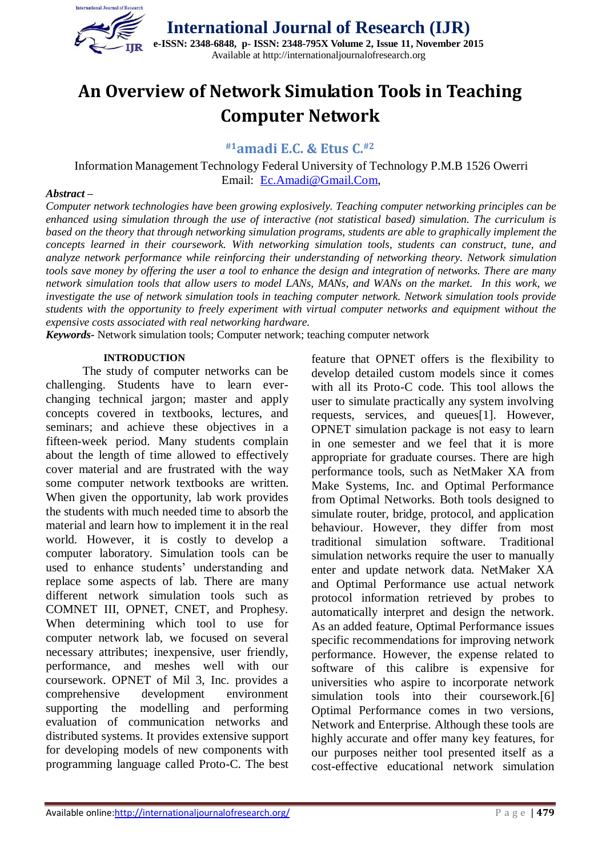

# **An Overview of Network Simulation Tools in Teaching Computer Network**

**#1amadi E.C. & Etus C.#2**

Information Management Technology Federal University of Technology P.M.B 1526 Owerri Email: [Ec.Amadi@Gmail.Com,](mailto:ec.amadi@gmail.com)

#### *Abstract –*

*Computer network technologies have been growing explosively. Teaching computer networking principles can be enhanced using simulation through the use of interactive (not statistical based) simulation. The curriculum is based on the theory that through networking simulation programs, students are able to graphically implement the concepts learned in their coursework. With networking simulation tools, students can construct, tune, and analyze network performance while reinforcing their understanding of networking theory. Network simulation tools save money by offering the user a tool to enhance the design and integration of networks. There are many network simulation tools that allow users to model LANs, MANs, and WANs on the market. In this work, we investigate the use of network simulation tools in teaching computer network. Network simulation tools provide students with the opportunity to freely experiment with virtual computer networks and equipment without the expensive costs associated with real networking hardware.*

*Keywords-* Network simulation tools; Computer network; teaching computer network

#### **INTRODUCTION**

The study of computer networks can be challenging. Students have to learn everchanging technical jargon; master and apply concepts covered in textbooks, lectures, and seminars; and achieve these objectives in a fifteen-week period. Many students complain about the length of time allowed to effectively cover material and are frustrated with the way some computer network textbooks are written. When given the opportunity, lab work provides the students with much needed time to absorb the material and learn how to implement it in the real world. However, it is costly to develop a computer laboratory. Simulation tools can be used to enhance students' understanding and replace some aspects of lab. There are many different network simulation tools such as COMNET III, OPNET, CNET, and Prophesy. When determining which tool to use for computer network lab, we focused on several necessary attributes; inexpensive, user friendly, performance, and meshes well with our coursework. OPNET of Mil 3, Inc. provides a comprehensive development environment supporting the modelling and performing evaluation of communication networks and distributed systems. It provides extensive support for developing models of new components with programming language called Proto-C. The best

feature that OPNET offers is the flexibility to develop detailed custom models since it comes with all its Proto-C code. This tool allows the user to simulate practically any system involving requests, services, and queues[1]. However, OPNET simulation package is not easy to learn in one semester and we feel that it is more appropriate for graduate courses. There are high performance tools, such as NetMaker XA from Make Systems, Inc. and Optimal Performance from Optimal Networks. Both tools designed to simulate router, bridge, protocol, and application behaviour. However, they differ from most traditional simulation software. Traditional simulation networks require the user to manually enter and update network data. NetMaker XA and Optimal Performance use actual network protocol information retrieved by probes to automatically interpret and design the network. As an added feature, Optimal Performance issues specific recommendations for improving network performance. However, the expense related to software of this calibre is expensive for universities who aspire to incorporate network simulation tools into their coursework.[6] Optimal Performance comes in two versions, Network and Enterprise. Although these tools are highly accurate and offer many key features, for our purposes neither tool presented itself as a cost-effective educational network simulation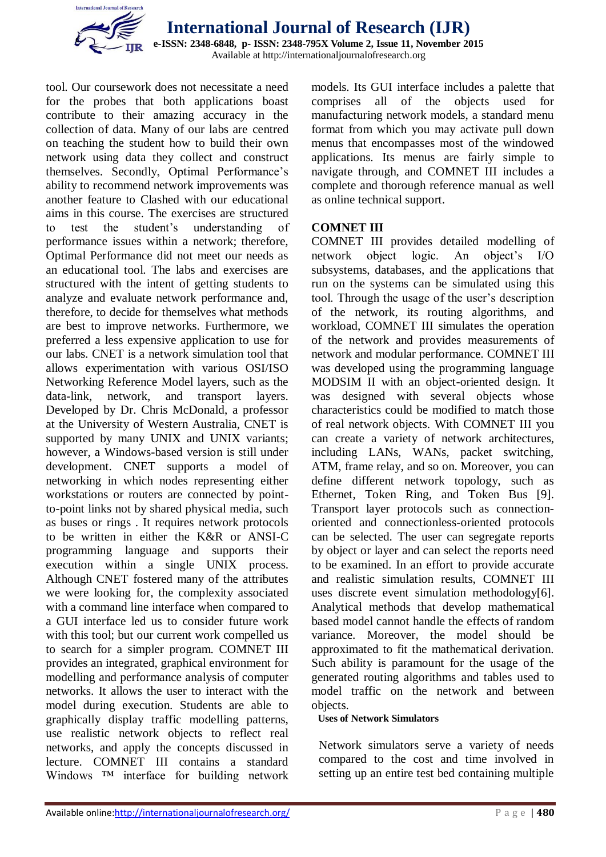

tool. Our coursework does not necessitate a need for the probes that both applications boast contribute to their amazing accuracy in the collection of data. Many of our labs are centred on teaching the student how to build their own network using data they collect and construct themselves. Secondly, Optimal Performance's ability to recommend network improvements was another feature to Clashed with our educational aims in this course. The exercises are structured to test the student's understanding of performance issues within a network; therefore, Optimal Performance did not meet our needs as an educational tool. The labs and exercises are structured with the intent of getting students to analyze and evaluate network performance and, therefore, to decide for themselves what methods are best to improve networks. Furthermore, we preferred a less expensive application to use for our labs. CNET is a network simulation tool that allows experimentation with various OSI/ISO Networking Reference Model layers, such as the data-link, network, and transport layers. Developed by Dr. Chris McDonald, a professor at the University of Western Australia, CNET is supported by many UNIX and UNIX variants; however, a Windows-based version is still under development. CNET supports a model of networking in which nodes representing either workstations or routers are connected by pointto-point links not by shared physical media, such as buses or rings . It requires network protocols to be written in either the K&R or ANSI-C programming language and supports their execution within a single UNIX process. Although CNET fostered many of the attributes we were looking for, the complexity associated with a command line interface when compared to a GUI interface led us to consider future work with this tool; but our current work compelled us to search for a simpler program. COMNET III provides an integrated, graphical environment for modelling and performance analysis of computer networks. It allows the user to interact with the model during execution. Students are able to graphically display traffic modelling patterns, use realistic network objects to reflect real networks, and apply the concepts discussed in lecture. COMNET III contains a standard Windows <sup>™</sup> interface for building network models. Its GUI interface includes a palette that comprises all of the objects used for manufacturing network models, a standard menu format from which you may activate pull down menus that encompasses most of the windowed applications. Its menus are fairly simple to navigate through, and COMNET III includes a complete and thorough reference manual as well as online technical support.

# **COMNET III**

COMNET III provides detailed modelling of network object logic. An object's I/O subsystems, databases, and the applications that run on the systems can be simulated using this tool. Through the usage of the user's description of the network, its routing algorithms, and workload, COMNET III simulates the operation of the network and provides measurements of network and modular performance. COMNET III was developed using the programming language MODSIM II with an object-oriented design. It was designed with several objects whose characteristics could be modified to match those of real network objects. With COMNET III you can create a variety of network architectures, including LANs, WANs, packet switching, ATM, frame relay, and so on. Moreover, you can define different network topology, such as Ethernet, Token Ring, and Token Bus [9]. Transport layer protocols such as connectionoriented and connectionless-oriented protocols can be selected. The user can segregate reports by object or layer and can select the reports need to be examined. In an effort to provide accurate and realistic simulation results, COMNET III uses discrete event simulation methodology[6]. Analytical methods that develop mathematical based model cannot handle the effects of random variance. Moreover, the model should be approximated to fit the mathematical derivation. Such ability is paramount for the usage of the generated routing algorithms and tables used to model traffic on the network and between objects.

# **Uses of Network Simulators**

Network simulators serve a variety of needs compared to the cost and time involved in setting up an entire test bed containing multiple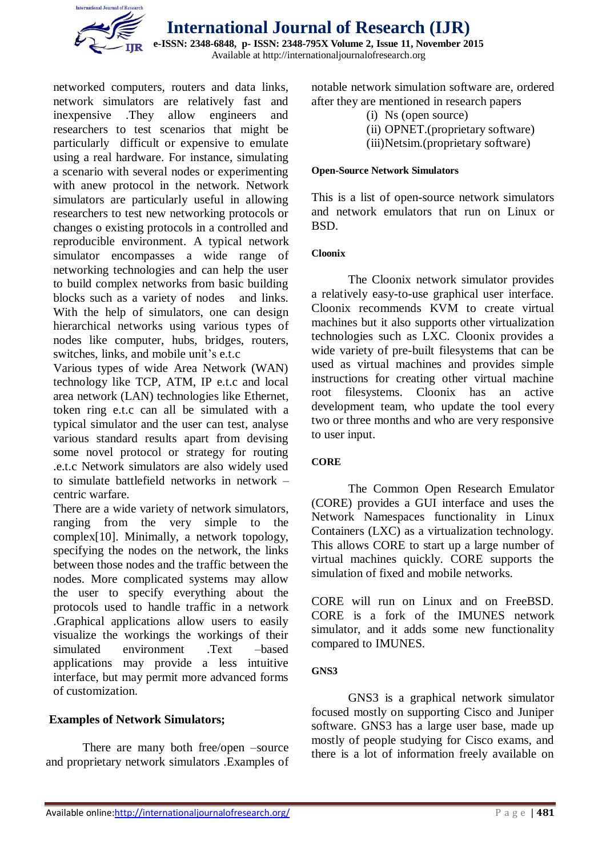

**International Journal of Research (IJR)**

**e-ISSN: 2348-6848, p- ISSN: 2348-795X Volume 2, Issue 11, November 2015** Available at http://internationaljournalofresearch.org

networked computers, routers and data links, network simulators are relatively fast and inexpensive .They allow engineers and researchers to test scenarios that might be particularly difficult or expensive to emulate using a real hardware. For instance, simulating a scenario with several nodes or experimenting with anew protocol in the network. Network simulators are particularly useful in allowing researchers to test new networking protocols or changes o existing protocols in a controlled and reproducible environment. A typical network simulator encompasses a wide range of networking technologies and can help the user to build complex networks from basic building blocks such as a variety of nodes and links. With the help of simulators, one can design hierarchical networks using various types of nodes like computer, hubs, bridges, routers, switches, links, and mobile unit's e.t.c

Various types of wide Area Network (WAN) technology like TCP, ATM, IP e.t.c and local area network (LAN) technologies like Ethernet, token ring e.t.c can all be simulated with a typical simulator and the user can test, analyse various standard results apart from devising some novel protocol or strategy for routing .e.t.c Network simulators are also widely used to simulate battlefield networks in network – centric warfare.

There are a wide variety of network simulators, ranging from the very simple to the complex[10]. Minimally, a network topology, specifying the nodes on the network, the links between those nodes and the traffic between the nodes. More complicated systems may allow the user to specify everything about the protocols used to handle traffic in a network .Graphical applications allow users to easily visualize the workings the workings of their simulated environment .Text –based applications may provide a less intuitive interface, but may permit more advanced forms of customization.

# **Examples of Network Simulators;**

There are many both free/open –source and proprietary network simulators .Examples of notable network simulation software are, ordered after they are mentioned in research papers

- (i) Ns (open source)
- (ii) OPNET.(proprietary software)
- (iii)Netsim.(proprietary software)

#### **Open-Source Network Simulators**

This is a list of open-source network simulators and network emulators that run on Linux or BSD.

#### **Cloonix**

The [Cloonix](http://www.brianlinkletter.com/tag/cloonix/) network simulator provides a relatively easy-to-use graphical user interface. Cloonix recommends KVM to create virtual machines but it also supports other virtualization technologies such as LXC. Cloonix provides a wide variety of pre-built filesystems that can be used as virtual machines and provides simple instructions for creating other virtual machine root filesystems. Cloonix has an active development team, who update the tool every two or three months and who are very responsive to user input.

# **CORE**

The [Common Open Research Emulator](http://www.brianlinkletter.com/tag/core/)  [\(CORE\)](http://www.brianlinkletter.com/tag/core/) provides a GUI interface and uses the Network Namespaces functionality in Linux Containers (LXC) as a virtualization technology. This allows CORE to start up a large number of virtual machines quickly. CORE supports the simulation of fixed and mobile networks.

CORE will run on Linux and on FreeBSD. CORE is a fork of the IMUNES network simulator, and it adds some new functionality compared to IMUNES.

# **GNS3**

[GNS3](http://www.brianlinkletter.com/tag/GNS3/) is a graphical network simulator focused mostly on supporting Cisco and Juniper software. GNS3 has a large user base, made up mostly of people studying for Cisco exams, and there is a lot of information freely available on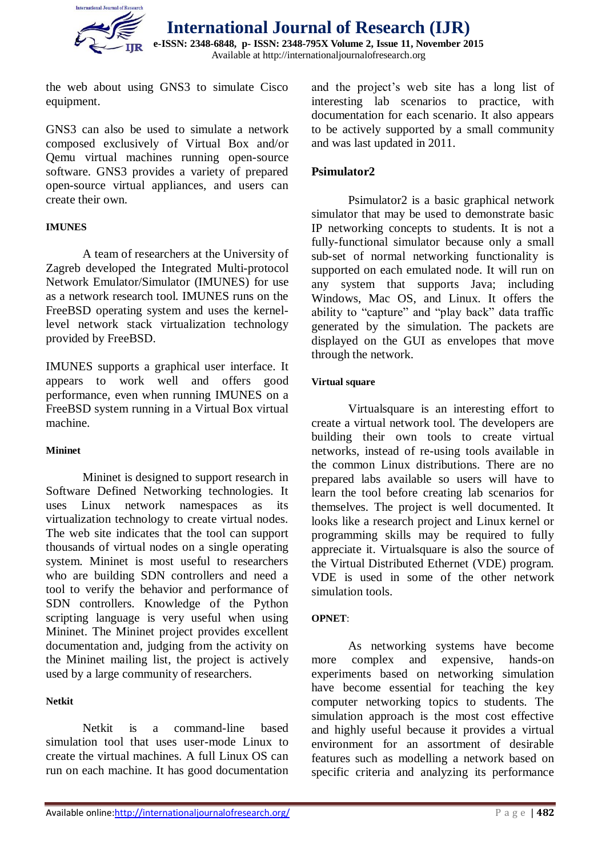

the web about using GNS3 to simulate Cisco equipment.

GNS3 can also be used to simulate a network composed exclusively of Virtual Box and/or Qemu virtual machines running open-source software. GNS3 provides a variety of prepared open-source virtual appliances, and users can create their own.

#### **IMUNES**

A team of researchers at the University of Zagreb developed the [Integrated Multi-protocol](http://www.brianlinkletter.com/tag/imunes/)  [Network Emulator/Simulator \(IMUNES\)](http://www.brianlinkletter.com/tag/imunes/) for use as a network research tool. IMUNES runs on the FreeBSD operating system and uses the kernellevel network stack virtualization technology provided by FreeBSD.

IMUNES supports a graphical user interface. It appears to work well and offers good performance, even when running IMUNES on a FreeBSD system running in a Virtual Box virtual machine.

#### **Mininet**

[Mininet](http://www.brianlinkletter.com/tag/mininet/) is designed to support research in Software Defined Networking technologies. It uses Linux network namespaces as its virtualization technology to create virtual nodes. The web site indicates that the tool can support thousands of virtual nodes on a single operating system. Mininet is most useful to researchers who are building SDN controllers and need a tool to verify the behavior and performance of SDN controllers. Knowledge of the Python scripting language is very useful when using Mininet. The Mininet project provides excellent documentation and, judging from the activity on the [Mininet mailing list,](https://mailman.stanford.edu/mailman/listinfo/mininet-discuss) the project is actively used by a large community of researchers.

# **Netkit**

[Netkit](http://www.brianlinkletter.com/tag/netkit/) is a command-line based simulation tool that uses user-mode Linux to create the virtual machines. A full Linux OS can run on each machine. It has good documentation and the project's web site has a long list of interesting lab scenarios to practice, with documentation for each scenario. It also appears to be actively supported by a small community and was last updated in 2011.

# **Psimulator2**

[Psimulator2](http://www.brianlinkletter.com/tag/Psimulator2/) is a basic graphical network simulator that may be used to demonstrate basic IP networking concepts to students. It is not a fully-functional simulator because only a small sub-set of normal networking functionality is supported on each emulated node. It will run on any system that supports Java; including Windows, Mac OS, and Linux. It offers the ability to "capture" and "play back" data traffic generated by the simulation. The packets are displayed on the GUI as envelopes that move through the network.

#### **Virtual square**

[Virtualsquare](http://wiki.virtualsquare.org/wiki/index.php/Main_Page) is an interesting effort to create a virtual network tool. The developers are building their own tools to create virtual networks, instead of re-using tools available in the common Linux distributions. There are no prepared labs available so users will have to learn the tool before creating lab scenarios for themselves. The project is well documented. It looks like a research project and Linux kernel or programming skills may be required to fully appreciate it. Virtualsquare is also the source of the [Virtual Distributed Ethernet](http://wiki.virtualsquare.org/wiki/index.php/VDE) (VDE) program. VDE is used in some of the other network simulation tools.

# **OPNET**:

As networking systems have become more complex and expensive, hands-on experiments based on networking simulation have become essential for teaching the key computer networking topics to students. The simulation approach is the most cost effective and highly useful because it provides a virtual environment for an assortment of desirable features such as modelling a network based on specific criteria and analyzing its performance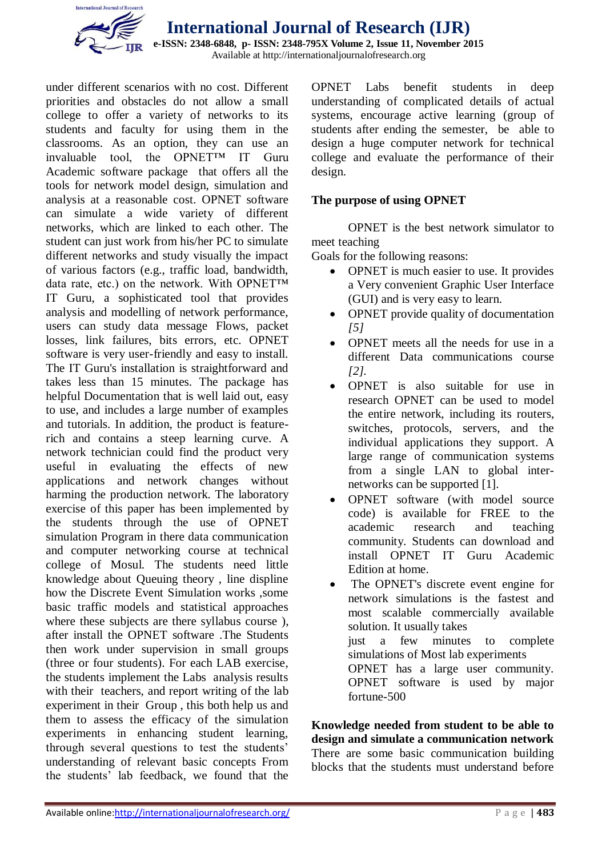

**International Journal of Research (IJR) e-ISSN: 2348-6848, p- ISSN: 2348-795X Volume 2, Issue 11, November 2015** 

Available at http://internationaljournalofresearch.org

under different scenarios with no cost. Different priorities and obstacles do not allow a small college to offer a variety of networks to its students and faculty for using them in the classrooms. As an option, they can use an invaluable tool, the OPNET™ IT Guru Academic software package that offers all the tools for network model design, simulation and analysis at a reasonable cost. OPNET software can simulate a wide variety of different networks, which are linked to each other. The student can just work from his/her PC to simulate different networks and study visually the impact of various factors (e.g., traffic load, bandwidth, data rate, etc.) on the network. With OPNET™ IT Guru, a sophisticated tool that provides analysis and modelling of network performance, users can study data message Flows, packet losses, link failures, bits errors, etc. OPNET software is very user-friendly and easy to install. The IT Guru's installation is straightforward and takes less than 15 minutes. The package has helpful Documentation that is well laid out, easy to use, and includes a large number of examples and tutorials. In addition, the product is featurerich and contains a steep learning curve. A network technician could find the product very useful in evaluating the effects of new applications and network changes without harming the production network. The laboratory exercise of this paper has been implemented by the students through the use of OPNET simulation Program in there data communication and computer networking course at technical college of Mosul. The students need little knowledge about Queuing theory , line displine how the Discrete Event Simulation works ,some basic traffic models and statistical approaches where these subjects are there syllabus course ), after install the OPNET software .The Students then work under supervision in small groups (three or four students). For each LAB exercise, the students implement the Labs analysis results with their teachers, and report writing of the lab experiment in their Group , this both help us and them to assess the efficacy of the simulation experiments in enhancing student learning, through several questions to test the students' understanding of relevant basic concepts From the students' lab feedback, we found that the

OPNET Labs benefit students in deep understanding of complicated details of actual systems, encourage active learning (group of students after ending the semester, be able to design a huge computer network for technical college and evaluate the performance of their design.

# **The purpose of using OPNET**

OPNET is the best network simulator to meet teaching

Goals for the following reasons:

- OPNET is much easier to use. It provides a Very convenient Graphic User Interface (GUI) and is very easy to learn.
- OPNET provide quality of documentation *[5]*
- OPNET meets all the needs for use in a different Data communications course *[2].*
- OPNET is also suitable for use in research OPNET can be used to model the entire network, including its routers, switches, protocols, servers, and the individual applications they support. A large range of communication systems from a single LAN to global internetworks can be supported [1].
- OPNET software (with model source code) is available for FREE to the academic research and teaching community. Students can download and install OPNET IT Guru Academic Edition at home.
- The OPNET's discrete event engine for network simulations is the fastest and most scalable commercially available solution. It usually takes just a few minutes to complete simulations of Most lab experiments OPNET has a large user community. OPNET software is used by major fortune-500

**Knowledge needed from student to be able to design and simulate a communication network** There are some basic communication building blocks that the students must understand before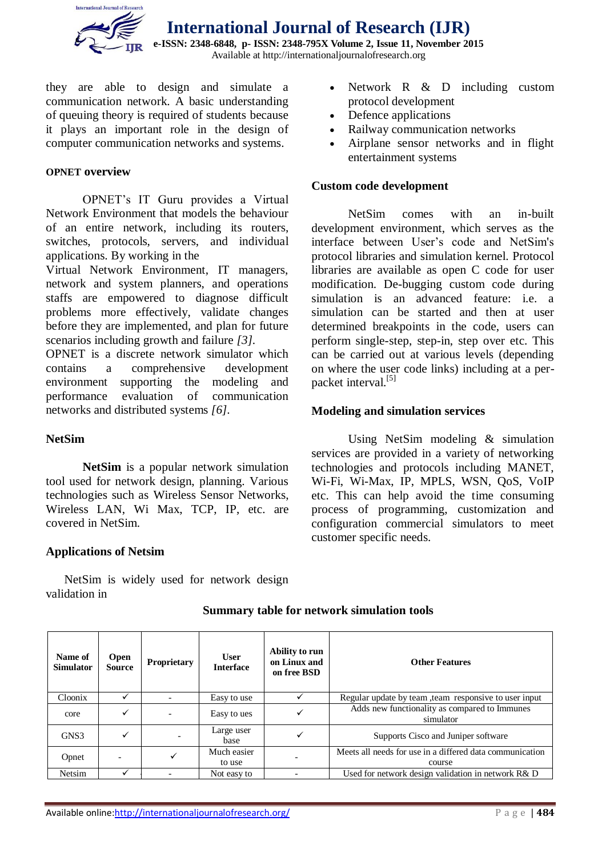

**International Journal of Research (IJR) e-ISSN: 2348-6848, p- ISSN: 2348-795X Volume 2, Issue 11, November 2015**

Available at http://internationaljournalofresearch.org

they are able to design and simulate a communication network. A basic understanding of queuing theory is required of students because it plays an important role in the design of computer communication networks and systems.

### **OPNET overview**

OPNET's IT Guru provides a Virtual Network Environment that models the behaviour of an entire network, including its routers, switches, protocols, servers, and individual applications. By working in the

Virtual Network Environment, IT managers, network and system planners, and operations staffs are empowered to diagnose difficult problems more effectively, validate changes before they are implemented, and plan for future scenarios including growth and failure *[3].*

OPNET is a discrete network simulator which contains a comprehensive development environment supporting the modeling and performance evaluation of communication networks and distributed systems *[6].*

# **NetSim**

**NetSim** is a popular [network simulation](https://en.wikipedia.org/wiki/Network_simulation) tool used for network design, planning. Various technologies such as [Wireless Sensor Networks,](https://en.wikipedia.org/wiki/Wireless_Sensor_Networks) [Wireless LAN,](https://en.wikipedia.org/wiki/Wireless_LAN) [Wi Max,](https://en.wikipedia.org/wiki/Wi_Max) [TCP,](https://en.wikipedia.org/wiki/Transmission_Control_Protocol) [IP,](https://en.wikipedia.org/wiki/Internet_Protocol) etc. are covered in NetSim.

# **Applications of Netsim**

NetSim is widely used for network design validation in

- Network R & D including custom protocol development
- Defence applications
- Railway communication networks
- Airplane sensor networks and in flight entertainment systems

#### **Custom code development**

NetSim comes with an in-built development environment, which serves as the interface between User's code and NetSim's protocol libraries and simulation kernel. Protocol libraries are available as open C code for user modification. De-bugging custom code during simulation is an advanced feature: i.e. a simulation can be started and then at user determined breakpoints in the code, users can perform single-step, step-in, step over etc. This can be carried out at various levels (depending on where the user code links) including at a per-packet interval.<sup>[\[5\]](https://en.wikipedia.org/wiki/NetSim#cite_note-5)</sup>

#### **Modeling and simulation services**

Using NetSim modeling & simulation services are provided in a variety of networking technologies and protocols including MANET, Wi-Fi, Wi-Max, IP, MPLS, WSN, QoS, VoIP etc. This can help avoid the time consuming process of programming, customization and configuration commercial simulators to meet customer specific needs.

| Name of<br><b>Simulator</b> | <b>Open</b><br><b>Source</b> | <b>Proprietary</b> | <b>User</b><br><b>Interface</b> | Ability to run<br>on Linux and<br>on free BSD | <b>Other Features</b>                                              |
|-----------------------------|------------------------------|--------------------|---------------------------------|-----------------------------------------------|--------------------------------------------------------------------|
| Cloonix                     |                              |                    | Easy to use                     |                                               | Regular update by team, team responsive to user input              |
| core                        | ✓                            |                    | Easy to ues                     |                                               | Adds new functionality as compared to Immunes<br>simulator         |
| GNS3                        | ✓                            |                    | Large user<br>base              |                                               | Supports Cisco and Juniper software                                |
| Opnet                       |                              |                    | Much easier<br>to use           |                                               | Meets all needs for use in a differed data communication<br>course |
| Netsim                      |                              |                    | Not easy to                     |                                               | Used for network design validation in network R& D                 |

#### **Summary table for network simulation tools**